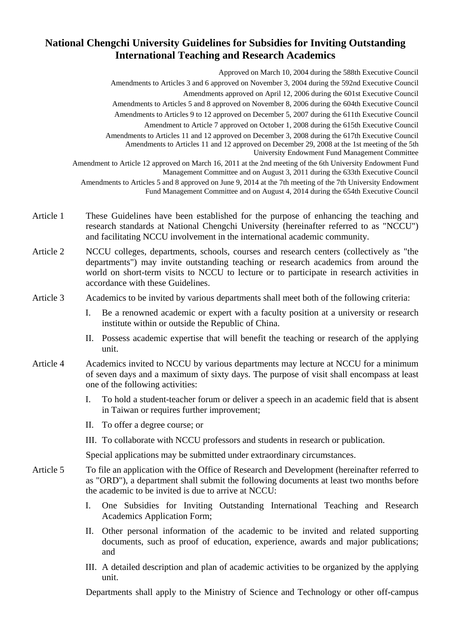## **National Chengchi University Guidelines for Subsidies for Inviting Outstanding International Teaching and Research Academics**

Approved on March 10, 2004 during the 588th Executive Council Amendments to Articles 3 and 6 approved on November 3, 2004 during the 592nd Executive Council Amendments approved on April 12, 2006 during the 601st Executive Council Amendments to Articles 5 and 8 approved on November 8, 2006 during the 604th Executive Council Amendments to Articles 9 to 12 approved on December 5, 2007 during the 611th Executive Council Amendment to Article 7 approved on October 1, 2008 during the 615th Executive Council Amendments to Articles 11 and 12 approved on December 3, 2008 during the 617th Executive Council Amendments to Articles 11 and 12 approved on December 29, 2008 at the 1st meeting of the 5th University Endowment Fund Management Committee Amendment to Article 12 approved on March 16, 2011 at the 2nd meeting of the 6th University Endowment Fund Management Committee and on August 3, 2011 during the 633th Executive Council Amendments to Articles 5 and 8 approved on June 9, 2014 at the 7th meeting of the 7th University Endowment Fund Management Committee and on August 4, 2014 during the 654th Executive Council

- Article 1 These Guidelines have been established for the purpose of enhancing the teaching and research standards at National Chengchi University (hereinafter referred to as "NCCU") and facilitating NCCU involvement in the international academic community.
- Article 2 NCCU colleges, departments, schools, courses and research centers (collectively as "the departments") may invite outstanding teaching or research academics from around the world on short-term visits to NCCU to lecture or to participate in research activities in accordance with these Guidelines.
- Article 3 Academics to be invited by various departments shall meet both of the following criteria:
	- I. Be a renowned academic or expert with a faculty position at a university or research institute within or outside the Republic of China.
	- II. Possess academic expertise that will benefit the teaching or research of the applying unit.
- Article 4 Academics invited to NCCU by various departments may lecture at NCCU for a minimum of seven days and a maximum of sixty days. The purpose of visit shall encompass at least one of the following activities:
	- I. To hold a student-teacher forum or deliver a speech in an academic field that is absent in Taiwan or requires further improvement;
	- II. To offer a degree course; or
	- III. To collaborate with NCCU professors and students in research or publication.

Special applications may be submitted under extraordinary circumstances.

- Article 5 To file an application with the Office of Research and Development (hereinafter referred to as "ORD"), a department shall submit the following documents at least two months before the academic to be invited is due to arrive at NCCU:
	- I. One Subsidies for Inviting Outstanding International Teaching and Research Academics Application Form;
	- II. Other personal information of the academic to be invited and related supporting documents, such as proof of education, experience, awards and major publications; and
	- III. A detailed description and plan of academic activities to be organized by the applying unit.

Departments shall apply to the Ministry of Science and Technology or other off-campus